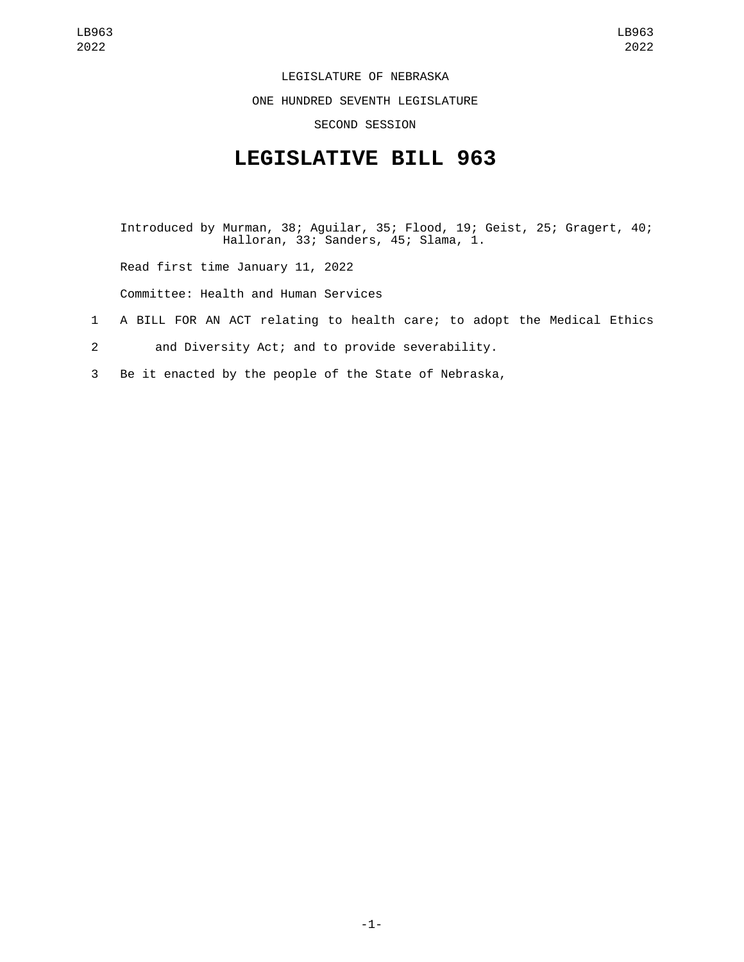LEGISLATURE OF NEBRASKA

ONE HUNDRED SEVENTH LEGISLATURE

SECOND SESSION

## **LEGISLATIVE BILL 963**

Introduced by Murman, 38; Aguilar, 35; Flood, 19; Geist, 25; Gragert, 40; Halloran, 33; Sanders, 45; Slama, 1.

Read first time January 11, 2022

Committee: Health and Human Services

- 1 A BILL FOR AN ACT relating to health care; to adopt the Medical Ethics
- 2 and Diversity Act; and to provide severability.
- 3 Be it enacted by the people of the State of Nebraska,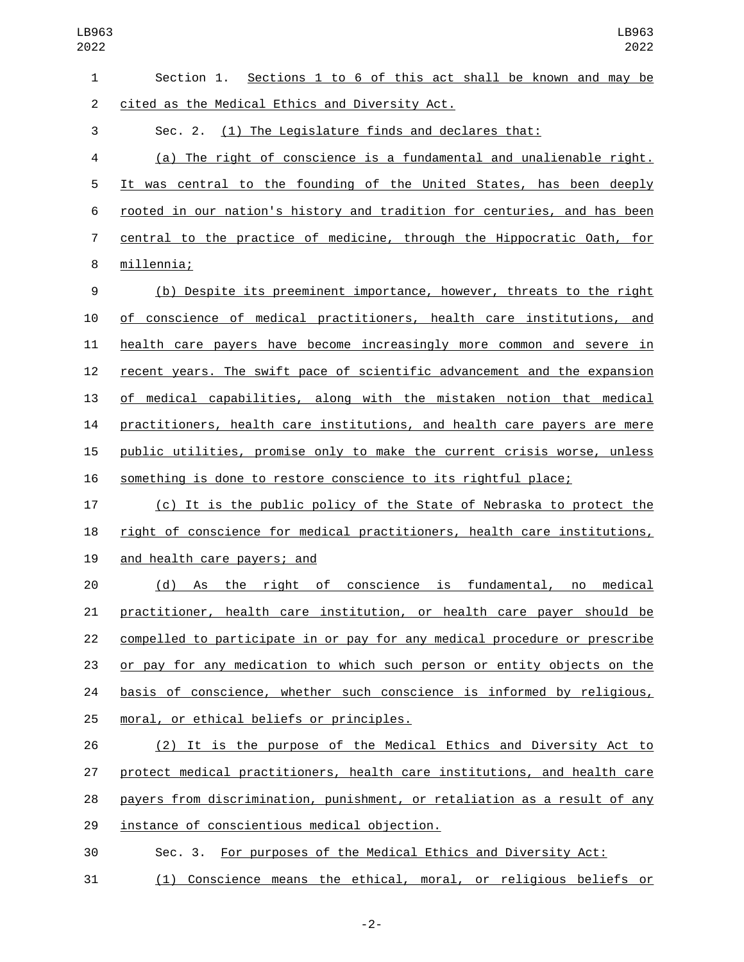| $\mathbf{1}$   | Section 1. Sections 1 to 6 of this act shall be known and may be          |
|----------------|---------------------------------------------------------------------------|
| $\overline{2}$ | cited as the Medical Ethics and Diversity Act.                            |
| 3              | Sec. 2. (1) The Legislature finds and declares that:                      |
| 4              | (a) The right of conscience is a fundamental and unalienable right.       |
| 5              | It was central to the founding of the United States, has been deeply      |
| 6              | rooted in our nation's history and tradition for centuries, and has been  |
| 7              | central to the practice of medicine, through the Hippocratic Oath, for    |
| 8              | millennia;                                                                |
| 9              | (b) Despite its preeminent importance, however, threats to the right      |
| 10             | of conscience of medical practitioners, health care institutions, and     |
| 11             | health care payers have become increasingly more common and severe in     |
| 12             | recent years. The swift pace of scientific advancement and the expansion  |
| 13             | of medical capabilities, along with the mistaken notion that medical      |
| 14             | practitioners, health care institutions, and health care payers are mere  |
| 15             | public utilities, promise only to make the current crisis worse, unless   |
| 16             | something is done to restore conscience to its rightful place;            |
| 17             | (c) It is the public policy of the State of Nebraska to protect the       |
| 18             | right of conscience for medical practitioners, health care institutions,  |
| 19             | and health care payers; and                                               |
| 20             | (d) As the right of conscience is fundamental, no<br>medical              |
| 21             | practitioner, health care institution, or health care payer should be     |
| 22             | compelled to participate in or pay for any medical procedure or prescribe |
| 23             | or pay for any medication to which such person or entity objects on the   |
| 24             | basis of conscience, whether such conscience is informed by religious,    |
| 25             | moral, or ethical beliefs or principles.                                  |
| 26             | (2) It is the purpose of the Medical Ethics and Diversity Act to          |
| 27             | protect medical practitioners, health care institutions, and health care  |
| 28             | payers from discrimination, punishment, or retaliation as a result of any |
| 29             | instance of conscientious medical objection.                              |
| 30             | Sec. 3. For purposes of the Medical Ethics and Diversity Act:             |

(1) Conscience means the ethical, moral, or religious beliefs or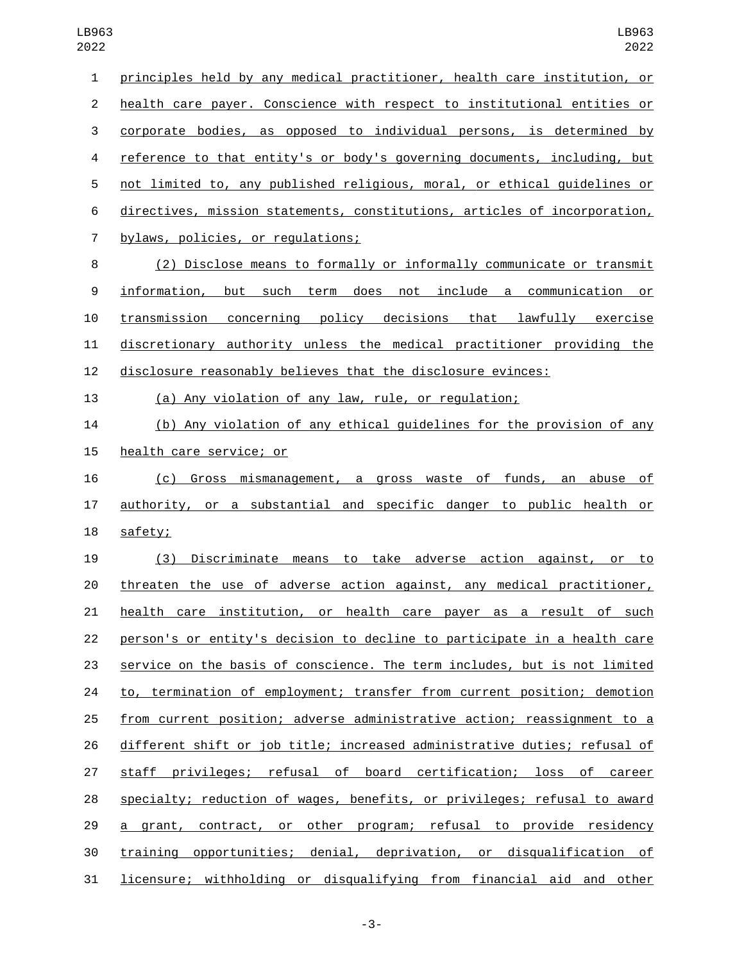principles held by any medical practitioner, health care institution, or health care payer. Conscience with respect to institutional entities or corporate bodies, as opposed to individual persons, is determined by reference to that entity's or body's governing documents, including, but not limited to, any published religious, moral, or ethical guidelines or directives, mission statements, constitutions, articles of incorporation, 7 bylaws, policies, or regulations; (2) Disclose means to formally or informally communicate or transmit information, but such term does not include a communication or transmission concerning policy decisions that lawfully exercise discretionary authority unless the medical practitioner providing the disclosure reasonably believes that the disclosure evinces: (a) Any violation of any law, rule, or regulation; (b) Any violation of any ethical guidelines for the provision of any 15 health care service; or (c) Gross mismanagement, a gross waste of funds, an abuse of authority, or a substantial and specific danger to public health or 18 safety; (3) Discriminate means to take adverse action against, or to threaten the use of adverse action against, any medical practitioner, health care institution, or health care payer as a result of such person's or entity's decision to decline to participate in a health care service on the basis of conscience. The term includes, but is not limited 24 to, termination of employment; transfer from current position; demotion from current position; adverse administrative action; reassignment to a different shift or job title; increased administrative duties; refusal of staff privileges; refusal of board certification; loss of career specialty; reduction of wages, benefits, or privileges; refusal to award 29 a grant, contract, or other program; refusal to provide residency training opportunities; denial, deprivation, or disqualification of

licensure; withholding or disqualifying from financial aid and other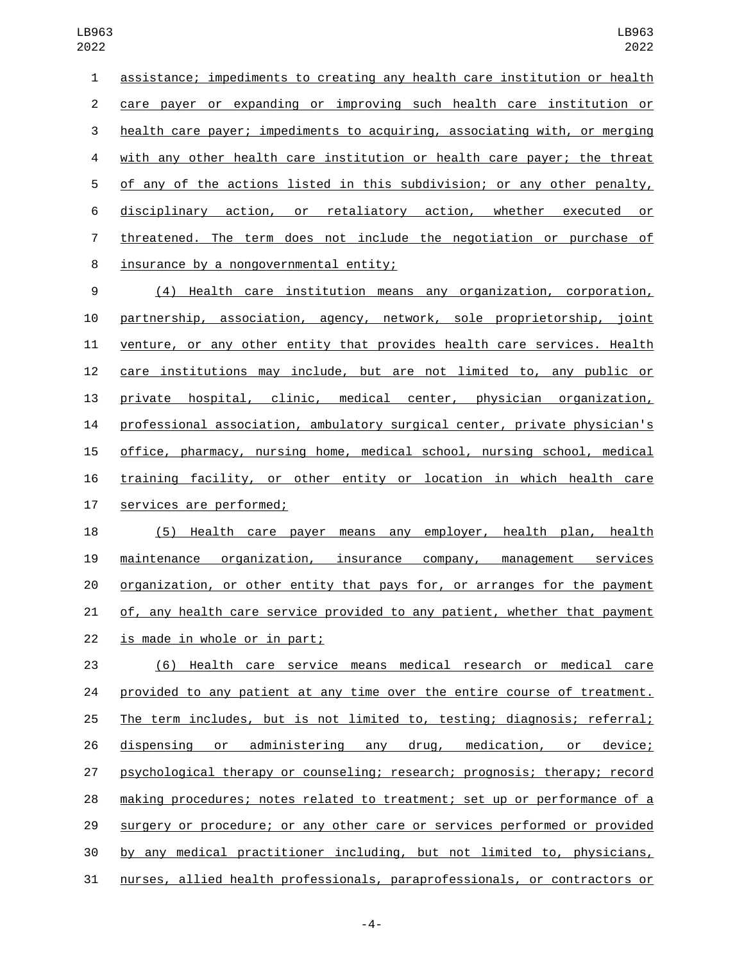assistance; impediments to creating any health care institution or health care payer or expanding or improving such health care institution or health care payer; impediments to acquiring, associating with, or merging with any other health care institution or health care payer; the threat of any of the actions listed in this subdivision; or any other penalty, disciplinary action, or retaliatory action, whether executed or 7 threatened. The term does not include the negotiation or purchase of 8 insurance by a nongovernmental entity; (4) Health care institution means any organization, corporation, partnership, association, agency, network, sole proprietorship, joint venture, or any other entity that provides health care services. Health care institutions may include, but are not limited to, any public or

 private hospital, clinic, medical center, physician organization, professional association, ambulatory surgical center, private physician's office, pharmacy, nursing home, medical school, nursing school, medical training facility, or other entity or location in which health care 17 services are performed;

 (5) Health care payer means any employer, health plan, health maintenance organization, insurance company, management services organization, or other entity that pays for, or arranges for the payment of, any health care service provided to any patient, whether that payment 22 is made in whole or in part;

 (6) Health care service means medical research or medical care provided to any patient at any time over the entire course of treatment. The term includes, but is not limited to, testing; diagnosis; referral; dispensing or administering any drug, medication, or device; psychological therapy or counseling; research; prognosis; therapy; record making procedures; notes related to treatment; set up or performance of a surgery or procedure; or any other care or services performed or provided by any medical practitioner including, but not limited to, physicians, nurses, allied health professionals, paraprofessionals, or contractors or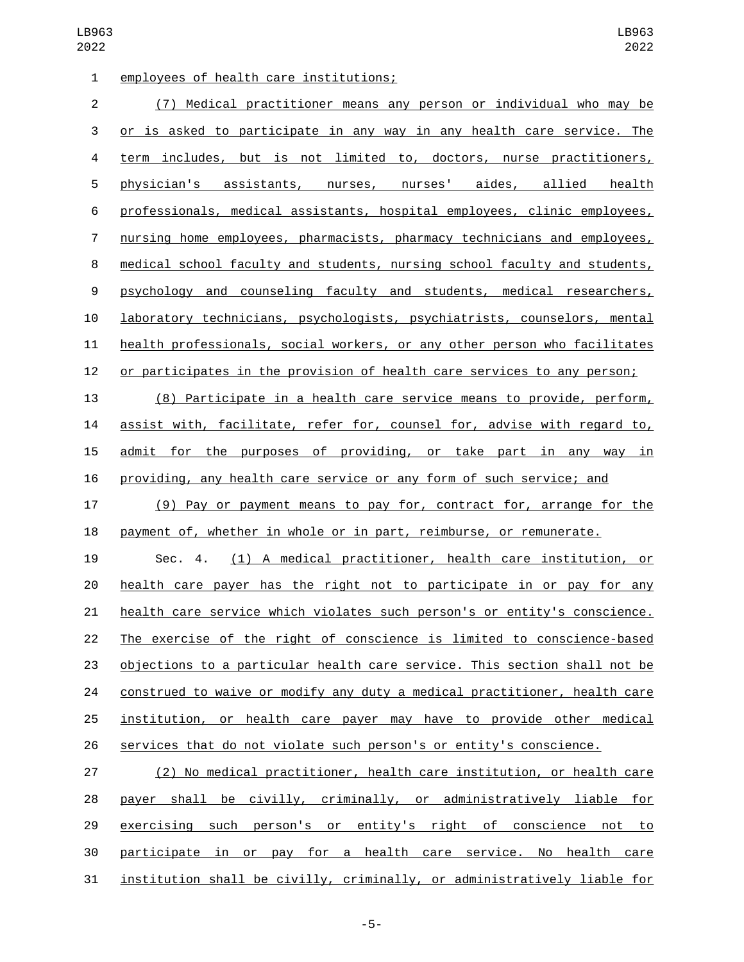| $\mathbf{1}$   | employees of health care institutions;                                           |
|----------------|----------------------------------------------------------------------------------|
| $\overline{2}$ | Medical practitioner means any person or individual who may be<br>(7)            |
| 3              | or is asked to participate in any way in any health care service. The            |
| 4              | term includes, but is not limited to, doctors, nurse practitioners,              |
| 5              | physician's assistants, nurses, nurses' aides, allied health                     |
| 6              | professionals, medical assistants, hospital employees, clinic employees,         |
| $\overline{7}$ | nursing home employees, pharmacists, pharmacy technicians and employees,         |
| 8              | medical school faculty and students, nursing school faculty and students,        |
| 9              | psychology and counseling faculty and students, medical researchers,             |
| 10             | laboratory technicians, psychologists, psychiatrists, counselors, mental         |
| 11             | health professionals, social workers, or any other person who facilitates        |
| 12             | or participates in the provision of health care services to any person;          |
| 13             | (8) Participate in a health care service means to provide, perform,              |
| 14             | assist with, facilitate, refer for, counsel for, advise with regard to,          |
| 15             | admit for the purposes of providing, or take part in any way in                  |
| 16             | providing, any health care service or any form of such service; and              |
| 17             | (9) Pay or payment means to pay for, contract for, arrange for the               |
| 18             | payment of, whether in whole or in part, reimburse, or remunerate.               |
| 19             | (1) A medical practitioner, health care institution, or<br>Sec. 4.               |
| 20             | health care payer has the right not to participate in or pay for any             |
| 21             | health care service which violates such person's or entity's conscience.         |
| 22             | The exercise of the right of conscience is limited to conscience-based           |
| 23             | <u>objections to a particular health care service. This section shall not be</u> |
| 24             | construed to waive or modify any duty a medical practitioner, health care        |
| 25             | institution, or health care payer may have to provide other medical              |
| 26             | services that do not violate such person's or entity's conscience.               |
| 27             | (2) No medical practitioner, health care institution, or health care             |
|                |                                                                                  |

 payer shall be civilly, criminally, or administratively liable for exercising such person's or entity's right of conscience not to participate in or pay for a health care service. No health care institution shall be civilly, criminally, or administratively liable for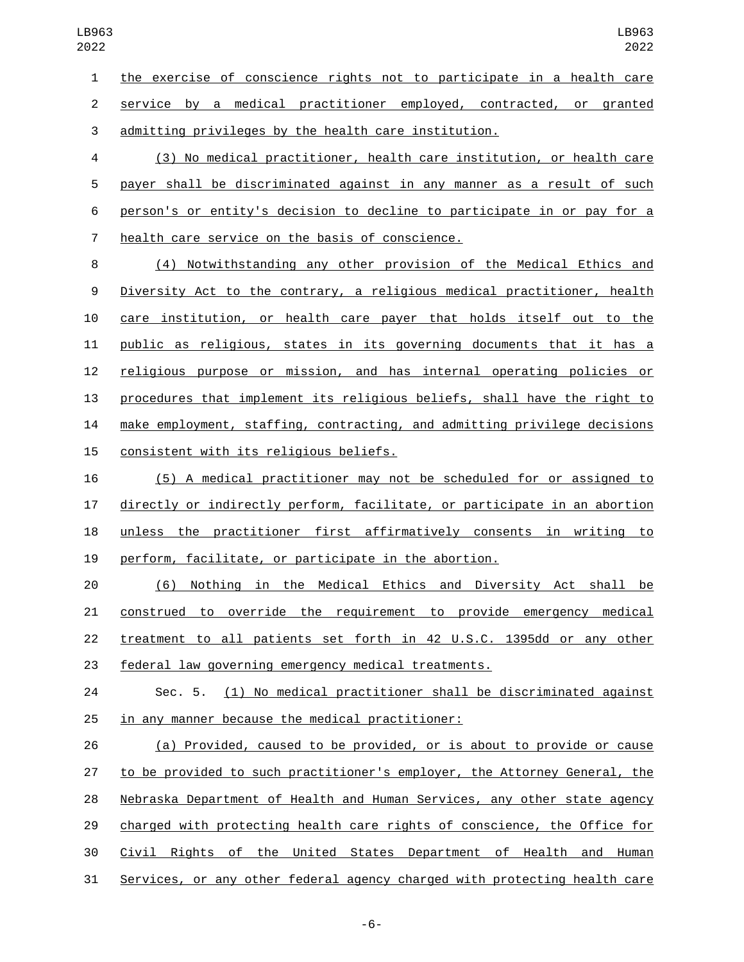the exercise of conscience rights not to participate in a health care

service by a medical practitioner employed, contracted, or granted

admitting privileges by the health care institution.

 (3) No medical practitioner, health care institution, or health care payer shall be discriminated against in any manner as a result of such person's or entity's decision to decline to participate in or pay for a 7 health care service on the basis of conscience.

 (4) Notwithstanding any other provision of the Medical Ethics and Diversity Act to the contrary, a religious medical practitioner, health care institution, or health care payer that holds itself out to the public as religious, states in its governing documents that it has a religious purpose or mission, and has internal operating policies or procedures that implement its religious beliefs, shall have the right to make employment, staffing, contracting, and admitting privilege decisions 15 consistent with its religious beliefs.

 (5) A medical practitioner may not be scheduled for or assigned to directly or indirectly perform, facilitate, or participate in an abortion unless the practitioner first affirmatively consents in writing to perform, facilitate, or participate in the abortion.

 (6) Nothing in the Medical Ethics and Diversity Act shall be construed to override the requirement to provide emergency medical treatment to all patients set forth in 42 U.S.C. 1395dd or any other federal law governing emergency medical treatments.

 Sec. 5. (1) No medical practitioner shall be discriminated against 25 in any manner because the medical practitioner:

 (a) Provided, caused to be provided, or is about to provide or cause to be provided to such practitioner's employer, the Attorney General, the Nebraska Department of Health and Human Services, any other state agency charged with protecting health care rights of conscience, the Office for Civil Rights of the United States Department of Health and Human Services, or any other federal agency charged with protecting health care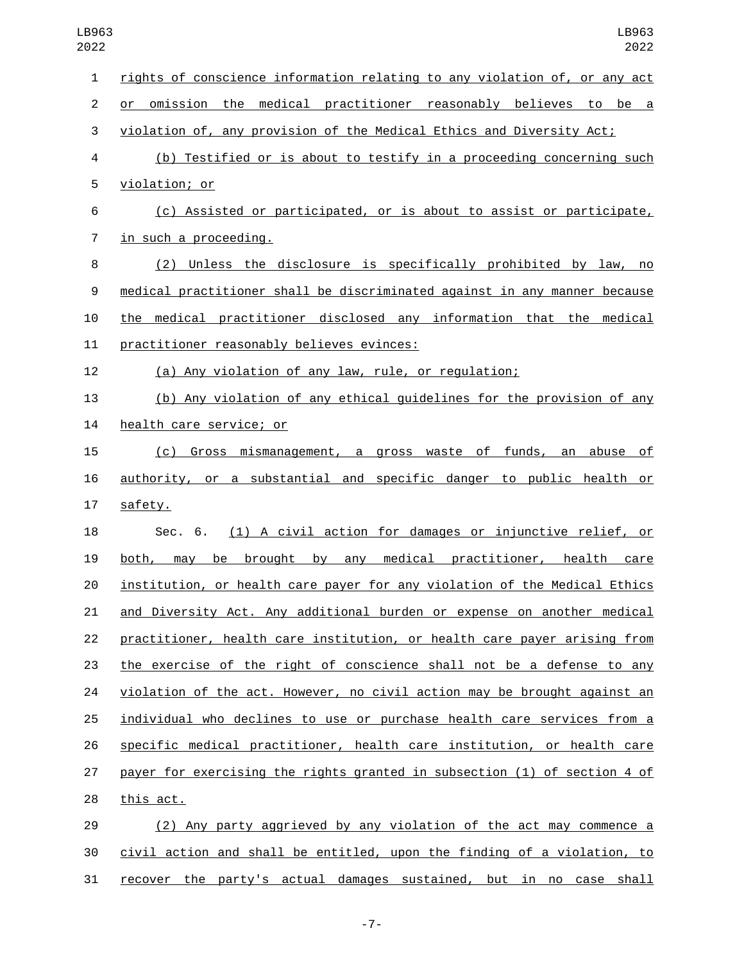| 1              | rights of conscience information relating to any violation of, or any act |
|----------------|---------------------------------------------------------------------------|
| $\overline{c}$ | omission the medical practitioner reasonably believes to be a<br>or       |
| 3              | violation of, any provision of the Medical Ethics and Diversity Act;      |
| 4              | (b) Testified or is about to testify in a proceeding concerning such      |
| 5              | violation; or                                                             |
| 6              | (c) Assisted or participated, or is about to assist or participate,       |
| $\overline{7}$ | in such a proceeding.                                                     |
| 8              | (2) Unless the disclosure is specifically prohibited by law, no           |
| 9              | medical practitioner shall be discriminated against in any manner because |
| 10             | the medical practitioner disclosed any information that the medical       |
| 11             | practitioner reasonably believes evinces:                                 |
| 12             | (a) Any violation of any law, rule, or regulation;                        |
| 13             | (b) Any violation of any ethical guidelines for the provision of any      |
| 14             | health care service; or                                                   |
| 15             | (c) Gross mismanagement, a gross waste of funds, an abuse of              |
| 16             | authority, or a substantial and specific danger to public health or       |
| 17             | safety.                                                                   |
| 18             | Sec. 6. (1) A civil action for damages or injunctive relief, or           |
| 19             | be brought by any medical practitioner, health care<br>both, may          |
| 20             | institution, or health care payer for any violation of the Medical Ethics |
| 21             | and Diversity Act. Any additional burden or expense on another medical    |
| 22             | practitioner, health care institution, or health care payer arising from  |
| 23             | the exercise of the right of conscience shall not be a defense to any     |
| 24             | violation of the act. However, no civil action may be brought against an  |
| 25             | individual who declines to use or purchase health care services from a    |
| 26             | specific medical practitioner, health care institution, or health care    |
| 27             | payer for exercising the rights granted in subsection (1) of section 4 of |
| 28             | this act.                                                                 |
| 29             | (2) Any party aggrieved by any violation of the act may commence a        |
| 30             | civil action and shall be entitled, upon the finding of a violation, to   |

31 recover the party's actual damages sustained, but in no case shall